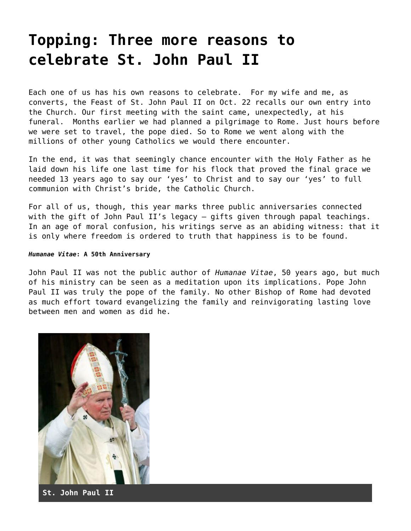## **[Topping: Three more reasons to](https://grandinmedia.ca/three-reasons-celebrate-st-john-paul-ii/) [celebrate St. John Paul II](https://grandinmedia.ca/three-reasons-celebrate-st-john-paul-ii/)**

Each one of us has his own reasons to celebrate. For my wife and me, as converts, the Feast of St. John Paul II on Oct. 22 recalls our own entry into the Church. Our first meeting with the saint came, unexpectedly, at his funeral. Months earlier we had planned a pilgrimage to Rome. Just hours before we were set to travel, the pope died. So to Rome we went along with the millions of other young Catholics we would there encounter.

In the end, it was that seemingly chance encounter with the Holy Father as he laid down his life one last time for his flock that proved the final grace we needed 13 years ago to say our 'yes' to Christ and to say our 'yes' to full communion with Christ's bride, the Catholic Church.

For all of us, though, this year marks three public anniversaries connected with the gift of John Paul II's legacy – gifts given through papal teachings. In an age of moral confusion, his writings serve as an abiding witness: that it is only where freedom is ordered to truth that happiness is to be found.

## *Humanae Vitae***: A 50th Anniversary**

John Paul II was not the public author of *Humanae Vitae*, 50 years ago, but much of his ministry can be seen as a meditation upon its implications. Pope John Paul II was truly the pope of the family. No other Bishop of Rome had devoted as much effort toward evangelizing the family and reinvigorating lasting love between men and women as did he.



**St. John Paul II**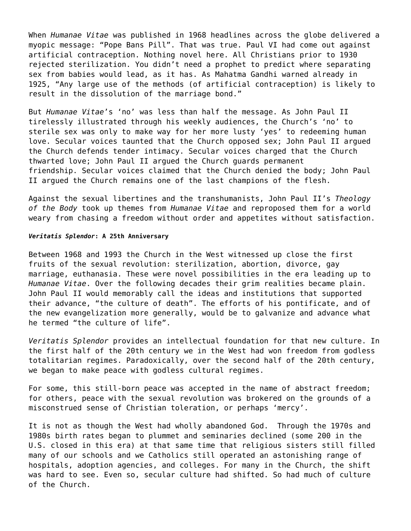When *Humanae Vitae* was published in 1968 headlines across the globe delivered a myopic message: "Pope Bans Pill". That was true. Paul VI had come out against artificial contraception. Nothing novel here. All Christians prior to 1930 rejected sterilization. You didn't need a prophet to predict where separating sex from babies would lead, as it has. As Mahatma Gandhi warned already in 1925, "Any large use of the methods (of artificial contraception) is likely to result in the dissolution of the marriage bond."

But *Humanae Vitae*'s 'no' was less than half the message. As John Paul II tirelessly illustrated through his weekly audiences, the Church's 'no' to sterile sex was only to make way for her more lusty 'yes' to redeeming human love. Secular voices taunted that the Church opposed sex; John Paul II argued the Church defends tender intimacy. Secular voices charged that the Church thwarted love; John Paul II argued the Church guards permanent friendship. Secular voices claimed that the Church denied the body; John Paul II argued the Church remains one of the last champions of the flesh.

Against the sexual libertines and the transhumanists, John Paul II's *Theology of the Body* took up themes from *Humanae Vitae* and reproposed them for a world weary from chasing a freedom without order and appetites without satisfaction.

## *Veritatis Splendor***: A 25th Anniversary**

Between 1968 and 1993 the Church in the West witnessed up close the first fruits of the sexual revolution: sterilization, abortion, divorce, gay marriage, euthanasia. These were novel possibilities in the era leading up to *Humanae Vitae*. Over the following decades their grim realities became plain. John Paul II would memorably call the ideas and institutions that supported their advance, "the culture of death". The efforts of his pontificate, and of the new evangelization more generally, would be to galvanize and advance what he termed "the culture of life".

*Veritatis Splendor* provides an intellectual foundation for that new culture. In the first half of the 20th century we in the West had won freedom from godless totalitarian regimes. Paradoxically, over the second half of the 20th century, we began to make peace with godless cultural regimes.

For some, this still-born peace was accepted in the name of abstract freedom; for others, peace with the sexual revolution was brokered on the grounds of a misconstrued sense of Christian toleration, or perhaps 'mercy'.

It is not as though the West had wholly abandoned God. Through the 1970s and 1980s birth rates began to plummet and seminaries declined (some 200 in the U.S. closed in this era) at that same time that religious sisters still filled many of our schools and we Catholics still operated an astonishing range of hospitals, adoption agencies, and colleges. For many in the Church, the shift was hard to see. Even so, secular culture had shifted. So had much of culture of the Church.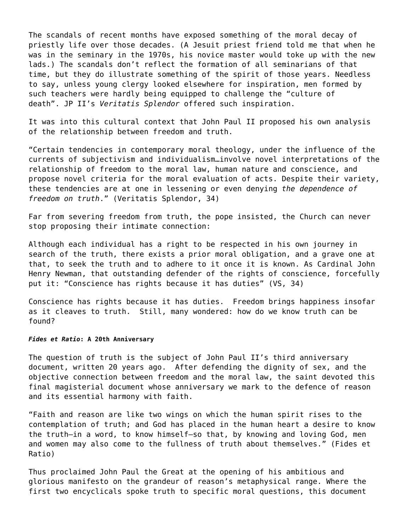The scandals of recent months have exposed something of the moral decay of priestly life over those decades. (A Jesuit priest friend told me that when he was in the seminary in the 1970s, his novice master would toke up with the new lads.) The scandals don't reflect the formation of all seminarians of that time, but they do illustrate something of the spirit of those years. Needless to say, unless young clergy looked elsewhere for inspiration, men formed by such teachers were hardly being equipped to challenge the "culture of death". JP II's *Veritatis Splendor* offered such inspiration.

It was into this cultural context that John Paul II proposed his own analysis of the relationship between freedom and truth.

"Certain tendencies in contemporary moral theology, under the influence of the currents of subjectivism and individualism…involve novel interpretations of the relationship of freedom to the moral law, human nature and conscience, and propose novel criteria for the moral evaluation of acts. Despite their variety, these tendencies are at one in lessening or even denying *the dependence of freedom on truth*." ([Veritatis Splendor, 34\)](http://w2.vatican.va/content/john-paul-ii/en/encyclicals/documents/hf_jp-ii_enc_06081993_veritatis-splendor.html)

Far from severing freedom from truth, the pope insisted, the Church can never stop proposing their intimate connection:

Although each individual has a right to be respected in his own journey in search of the truth, there exists a prior moral obligation, and a grave one at that, to seek the truth and to adhere to it once it is known. As Cardinal John Henry Newman, that outstanding defender of the rights of conscience, forcefully put it: "Conscience has rights because it has duties" ([VS, 34](http://w2.vatican.va/content/john-paul-ii/en/encyclicals/documents/hf_jp-ii_enc_06081993_veritatis-splendor.html))

Conscience has rights because it has duties. Freedom brings happiness insofar as it cleaves to truth. Still, many wondered: how do we know truth can be found?

## *Fides et Ratio***: A 20th Anniversary**

The question of truth is the subject of John Paul II's third anniversary document, written 20 years ago. After defending the dignity of sex, and the objective connection between freedom and the moral law, the saint devoted this final magisterial document whose anniversary we mark to the defence of reason and its essential harmony with faith.

"Faith and reason are like two wings on which the human spirit rises to the contemplation of truth; and God has placed in the human heart a desire to know the truth—in a word, to know himself—so that, by knowing and loving God, men and women may also come to the fullness of truth about themselves." [\(Fides et](http://w2.vatican.va/content/john-paul-ii/en/encyclicals/documents/hf_jp-ii_enc_14091998_fides-et-ratio.html) [Ratio\)](http://w2.vatican.va/content/john-paul-ii/en/encyclicals/documents/hf_jp-ii_enc_14091998_fides-et-ratio.html)

Thus proclaimed John Paul the Great at the opening of his ambitious and glorious manifesto on the grandeur of reason's metaphysical range. Where the first two encyclicals spoke truth to specific moral questions, this document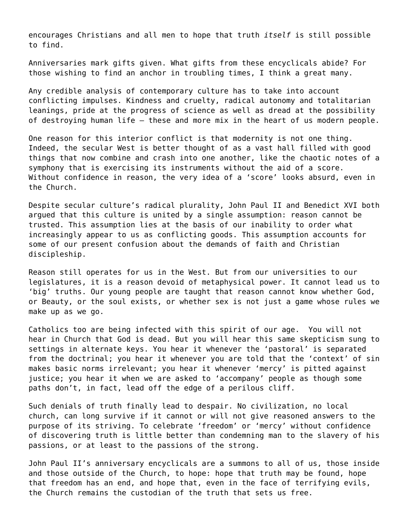encourages Christians and all men to hope that truth *itself* is still possible to find.

Anniversaries mark gifts given. What gifts from these encyclicals abide? For those wishing to find an anchor in troubling times, I think a great many.

Any credible analysis of contemporary culture has to take into account conflicting impulses. Kindness and cruelty, radical autonomy and totalitarian leanings, pride at the progress of science as well as dread at the possibility of destroying human life – these and more mix in the heart of us modern people.

One reason for this interior conflict is that modernity is not one thing. Indeed, the secular West is better thought of as a vast hall filled with good things that now combine and crash into one another, like the chaotic notes of a symphony that is exercising its instruments without the aid of a score. Without confidence in reason, the very idea of a 'score' looks absurd, even in the Church.

Despite secular culture's radical plurality, John Paul II and Benedict XVI both argued that this culture is united by a single assumption: reason cannot be trusted. This assumption lies at the basis of our inability to order what increasingly appear to us as conflicting goods. This assumption accounts for some of our present confusion about the demands of faith and Christian discipleship.

Reason still operates for us in the West. But from our universities to our legislatures, it is a reason devoid of metaphysical power. It cannot lead us to 'big' truths. Our young people are taught that reason cannot know whether God, or Beauty, or the soul exists, or whether sex is not just a game whose rules we make up as we go.

Catholics too are being infected with this spirit of our age. You will not hear in Church that God is dead. But you will hear this same skepticism sung to settings in alternate keys. You hear it whenever the 'pastoral' is separated from the doctrinal; you hear it whenever you are told that the 'context' of sin makes basic norms irrelevant; you hear it whenever 'mercy' is pitted against justice; you hear it when we are asked to 'accompany' people as though some paths don't, in fact, lead off the edge of a perilous cliff.

Such denials of truth finally lead to despair. No civilization, no local church, can long survive if it cannot or will not give reasoned answers to the purpose of its striving. To celebrate 'freedom' or 'mercy' without confidence of discovering truth is little better than condemning man to the slavery of his passions, or at least to the passions of the strong.

John Paul II's anniversary encyclicals are a summons to all of us, those inside and those outside of the Church, to hope: hope that truth may be found, hope that freedom has an end, and hope that, even in the face of terrifying evils, the Church remains the custodian of the truth that sets us free.